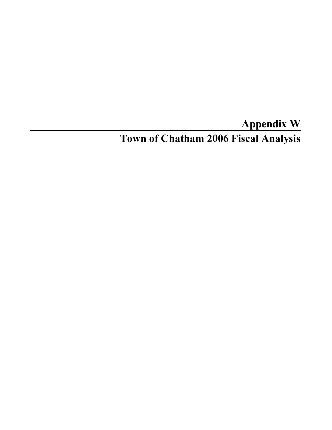#### **Appendix W Town of Chatham 2006 Fiscal Analysis**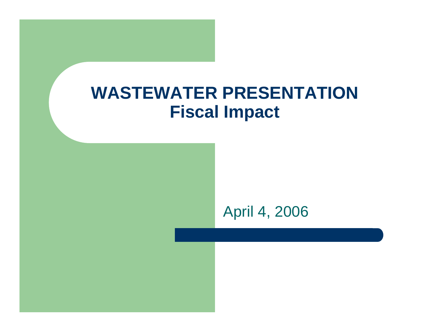### **WASTEWATER PRESENTATION Fiscal Impact**

#### April 4, 2006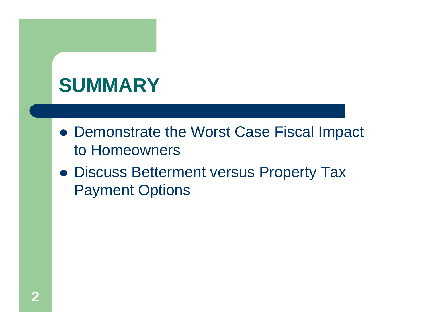# **SUMMARY**

- Demonstrate the Worst Case Fiscal Impact to Homeowners
- **Discuss Betterment versus Property Tax** Payment Options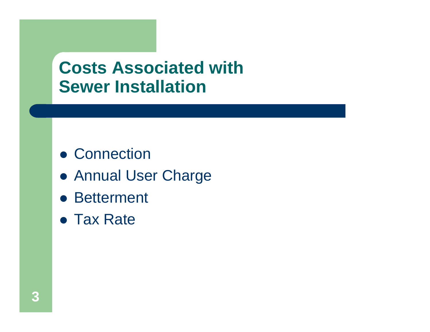## **Costs Associated withSewer Installation**

- Connection
- **Annual User Charge**
- **Betterment**
- Tax Rate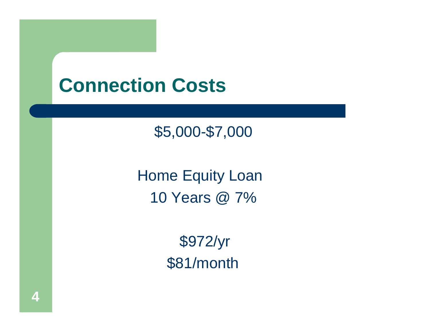# **Connection Costs**

#### \$5,000-\$7,000

Home Equity Loan 10 Years @ 7%

> \$972/yr \$81/month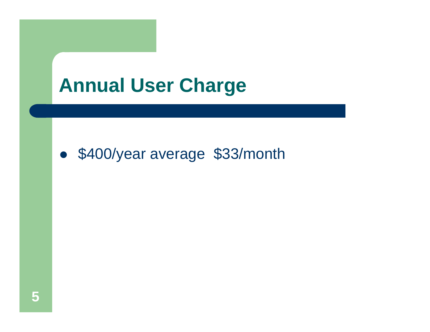## **Annual User Charge**

#### $\bullet$ \$400/year average \$33/month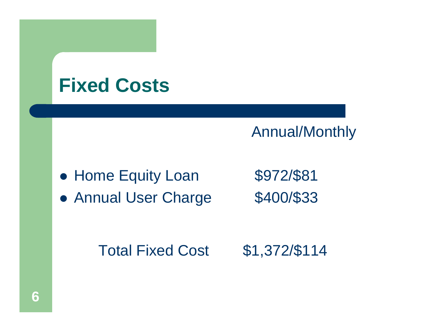# **Fixed Costs**

#### Annual/Monthly

- Home Equity Loan \$972/\$81
- Annual User Charge \$400/\$33

#### Total Fixed Cost \$1,372/\$114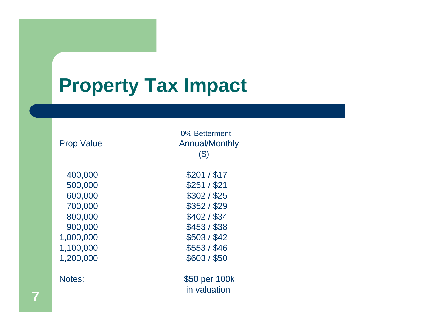# **Property Tax Impact**

| <b>Prop Value</b> | 0% Betterment<br><b>Annual/Monthly</b><br>$(\$)$ |  |
|-------------------|--------------------------------------------------|--|
|                   |                                                  |  |
| 400,000           | \$201 / \$17                                     |  |
| 500,000           | \$251 / \$21                                     |  |
| 600,000           | \$302 / \$25                                     |  |
| 700,000           | \$352 / \$29                                     |  |
| 800,000           | \$402 / \$34                                     |  |
| 900,000           | $$453/$ $$38$                                    |  |
| 1,000,000         | \$503 / \$42                                     |  |
| 1,100,000         | \$553/\$46                                       |  |
| 1,200,000         | \$603 / \$50                                     |  |
|                   |                                                  |  |
| Notes:            | \$50 per 100k                                    |  |
|                   | in valuation                                     |  |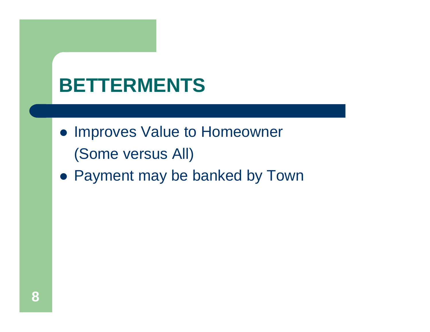# **BETTERMENTS**

- Improves Value to Homeowner (Some versus All)
- Payment may be banked by Town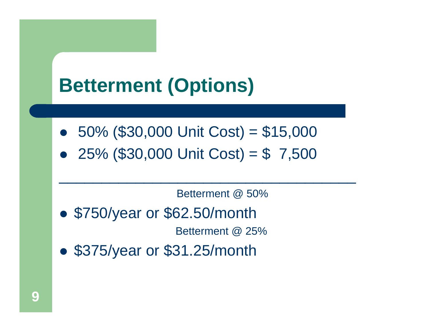# **Betterment (Options)**

- $\bullet$  50% (\$30,000 Unit Cost) = \$15,000
- $\bullet$  $25\%$  (\$30,000 Unit Cost) = \$ 7,500

Betterment @ 50%

 $\mathcal{L}_\mathcal{L}$  , and the set of the set of the set of the set of the set of the set of the set of the set of the set of the set of the set of the set of the set of the set of the set of the set of the set of the set of th

• \$750/year or \$62.50/month

Betterment @ 25%

• \$375/year or \$31.25/month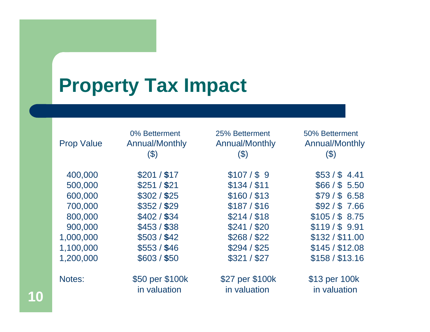# **Property Tax Impact**

**10**

| <b>Prop Value</b> | 0% Betterment<br><b>Annual/Monthly</b><br>$($ \$) | 25% Betterment<br><b>Annual/Monthly</b><br>$($ \$) | 50% Betterment<br>Annual/Monthly<br>$(\mathcal{S})$ |
|-------------------|---------------------------------------------------|----------------------------------------------------|-----------------------------------------------------|
| 400,000           | \$201 / \$17                                      | \$107 / \$9                                        | $$53/$$ 4.41                                        |
| 500,000           | \$251 / \$21                                      | \$134 / \$11                                       | \$66 / \$5.50                                       |
| 600,000           | \$302 / \$25                                      | \$160 / \$13                                       | $$79/$ \$6.58                                       |
| 700,000           | \$352 / \$29                                      | \$187 / \$16                                       | $$92/$ \$7.66                                       |
| 800,000           | \$402 / \$34                                      | \$214 / \$18                                       | \$105 / \$8.75                                      |
| 900,000           | $$453/$ \$38                                      | \$241 / \$20                                       | \$119 / \$9.91                                      |
| 1,000,000         | \$503 / \$42                                      | \$268 / \$22                                       | \$132 / \$11.00                                     |
| 1,100,000         | \$553/\$46                                        | \$294 / \$25                                       | \$145 / \$12.08                                     |
| 1,200,000         | \$603 / \$50                                      | \$321 / \$27                                       | \$158 / \$13.16                                     |
|                   |                                                   |                                                    |                                                     |
| Notes:            | \$50 per \$100k                                   | \$27 per \$100k                                    | \$13 per 100k                                       |
|                   | in valuation                                      | in valuation                                       | in valuation                                        |
|                   |                                                   |                                                    |                                                     |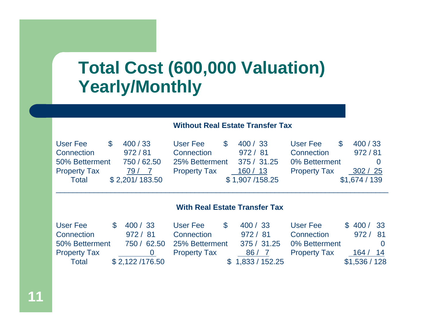## **Total Cost (600,000 Valuation) Yearly/Monthly**

#### **Without Real Estate Transfer Tax**

User Fee \$ 400 / 33 User Fee \$ 400 / 33 User Fee \$ 400 / 33 Connection 972 / 81 Connection 972 / 81 Connection 972 / 8150% Betterment 750 / 62.50 25% Betterment 375 / 31.25 0% Betterment 0Property Tax 79 / 7 Property Tax 160 / 13 Property Tax 302 / 25 Total \$ 2,201/ 183.50 \$ 1,907 / 158.25 \$1,674 / 139

#### **With Real Estate Transfer Tax**

| User Fee            | \$400 / 33     | User Fee                   | 400 / 33       | User Fee            | \$400/33    |          |
|---------------------|----------------|----------------------------|----------------|---------------------|-------------|----------|
| Connection          | 972 / 81       | Connection                 | 972 / 81       | Connection          | 972/81      |          |
| 50% Betterment      |                | 750 / 62.50 25% Betterment | 375/31.25      | 0% Betterment       |             | $\Omega$ |
| <b>Property Tax</b> |                | <b>Property Tax</b>        | 86 / 7         | <b>Property Tax</b> | 164/14      |          |
| Total               | \$2,122/176.50 |                            | \$1,833/152.25 |                     | \$1,536/128 |          |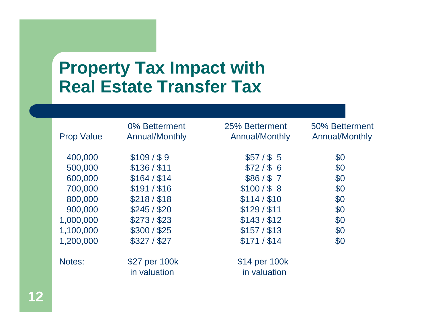## **Property Tax Impact with Real Estate Transfer Tax**

| <b>Prop Value</b> | 0% Betterment<br><b>Annual/Monthly</b> | 25% Betterment<br><b>Annual/Monthly</b> | 50% Betterment<br><b>Annual/Monthly</b> |
|-------------------|----------------------------------------|-----------------------------------------|-----------------------------------------|
| 400,000           | \$109/\$9                              | $$57/$ \$ 5                             | \$0                                     |
| 500,000           | \$136 / \$11                           | \$72/\$6                                | \$0                                     |
| 600,000           | \$164 / \$14                           | \$86/\$7                                | \$0                                     |
| 700,000           | \$191 / \$16                           | \$100 / \$8                             | \$0                                     |
| 800,000           | \$218 / \$18                           | \$114 / \$10                            | \$0                                     |
| 900,000           | \$245/\$20                             | \$129 / \$11                            | \$0                                     |
| 1,000,000         | \$273 / \$23                           | \$143 / \$12                            | \$0                                     |
| 1,100,000         | \$300 / \$25                           | \$157 / \$13                            | \$0                                     |
| 1,200,000         | \$327 / \$27                           | \$171 / \$14                            | \$0                                     |
| Notes:            | \$27 per 100k<br>in valuation          | \$14 per 100k<br>in valuation           |                                         |
|                   |                                        |                                         |                                         |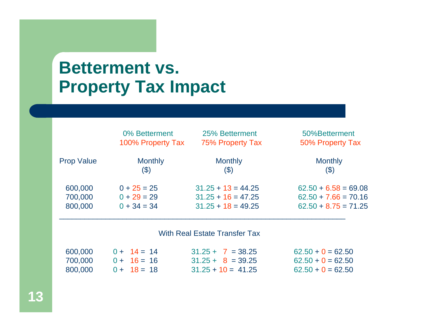## **Betterment vs. Property Tax Impact**

|                   | 0% Betterment                | 25% Betterment       | 50%Betterment          |
|-------------------|------------------------------|----------------------|------------------------|
|                   | 100% Property Tax            | 75% Property Tax     | 50% Property Tax       |
| <b>Prop Value</b> | <b>Monthly</b>               | <b>Monthly</b>       | <b>Monthly</b>         |
|                   | $\left( \mathcal{S} \right)$ | $($ \$)              | ( \$)                  |
| 600,000           | $0 + 25 = 25$                | $31.25 + 13 = 44.25$ | $62.50 + 6.58 = 69.08$ |
| 700,000           | $0 + 29 = 29$                | $31.25 + 16 = 47.25$ | $62.50 + 7.66 = 70.16$ |
| 800,000           | $0 + 34 = 34$                | $31.25 + 18 = 49.25$ | $62.50 + 8.75 = 71.25$ |

With Real Estate Transfer Tax

| 600,000 | $0 + 14 = 14$ | $31.25 + 7 = 38.25$  | $62.50 + 0 = 62.50$ |
|---------|---------------|----------------------|---------------------|
| 700,000 | $0 + 16 = 16$ | $31.25 + 8 = 39.25$  | $62.50 + 0 = 62.50$ |
| 800,000 | $0 + 18 = 18$ | $31.25 + 10 = 41.25$ | $62.50 + 0 = 62.50$ |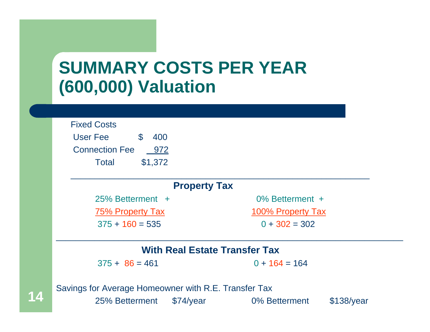## **SUMMARY COSTS PER YEAR(600,000) Valuation**

| <b>Fixed Costs</b>             |                                      |
|--------------------------------|--------------------------------------|
| $\mathbb S$<br>User Fee<br>400 |                                      |
| <b>Connection Fee</b><br>972   |                                      |
| \$1,372<br>Total               |                                      |
|                                |                                      |
| <b>Property Tax</b>            |                                      |
| 25% Betterment +               | 0% Betterment +                      |
| <b>75% Property Tax</b>        | 100% Property Tax                    |
| $375 + 160 = 535$              | $0 + 302 = 302$                      |
|                                |                                      |
|                                | <b>With Real Estate Transfer Tax</b> |
| $375 + 86 = 461$               | $0 + 164 = 164$                      |

Savings for Average Homeowner with R.E. Transfer Tax

25% Betterment \$74/year 0% Betterment \$138/year

**14**